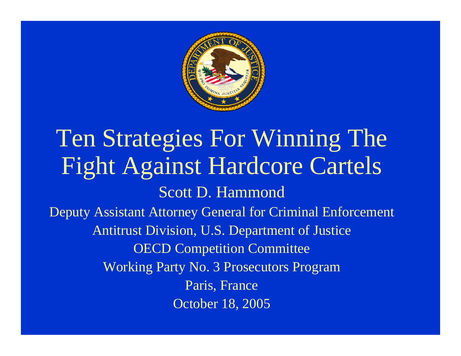

#### Ten Strategies For Winning The Fight Against Hardcore Cartels Scott D. Hammond Deputy Assistant Attorney General for Criminal Enforcement Antitrust Division, U.S. Department of Justice OECD Competition Committee Working Party No. 3 Prosecutors Program Paris, France October 18, 2005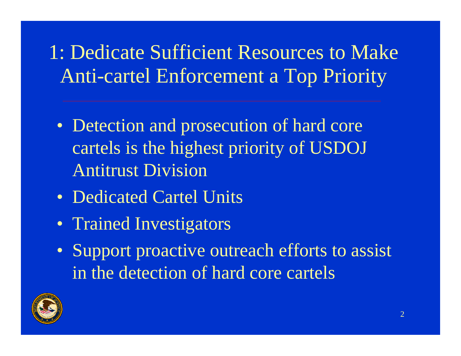1: Dedicate Sufficient Resources to Make Anti-cartel Enforcement a Top Priority

- Detection and prosecution of hard core cartels is the highest priority of USDOJ Antitrust Division
- Dedicated Cartel Units
- Trained Investigators
- Support proactive outreach efforts to assist in the detection of hard core cartels

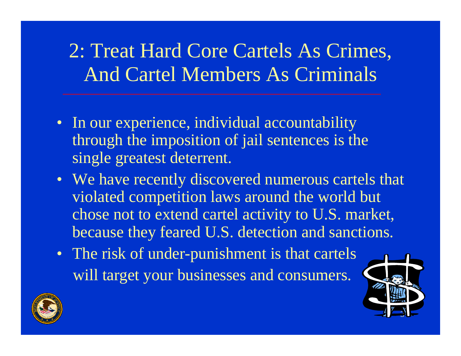#### 2: Treat Hard Core Cartels As Crimes, And Cartel Members As Criminals

- In our experience, individual accountability through the imposition of jail sentences is the single greatest deterrent.
- We have recently discovered numerous cartels that violated competition laws around the world but chose not to extend cartel activity to U.S. market, because they feared U.S. detection and sanctions.
- The risk of under-punishment is that cartels will target your businesses and consumers.



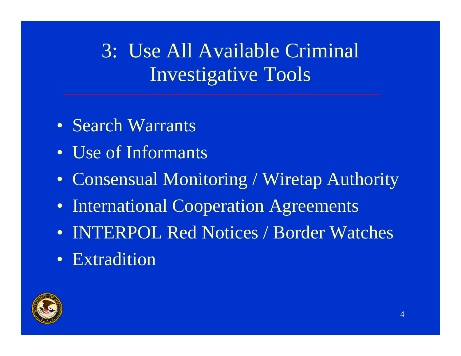## 3: Use All Available Criminal Investigative Tools

- Search Warrants
- Use of Informants
- Consensual Monitoring / Wiretap Authority
- International Cooperation Agreements
- INTERPOL Red Notices / Border Watches
- Extradition

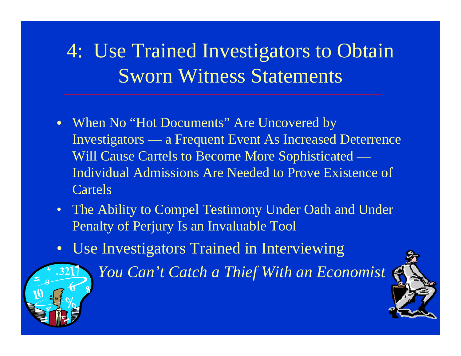## 4: Use Trained Investigators to Obtain Sworn Witness Statements

- $\bullet$  When No "Hot Documents" Are Uncovered by Investigators — a Frequent Event As Increased Deterrence Will Cause Cartels to Become More Sophisticated — Individual Admissions Are Needed to Prove Existence of Cartels
- The Ability to Compel Testimony Under Oath and Under Penalty of Perjury Is an Invaluable Tool
- Use Investigators Trained in Interviewing



*You Can't Catch a Thief With an Economist* 

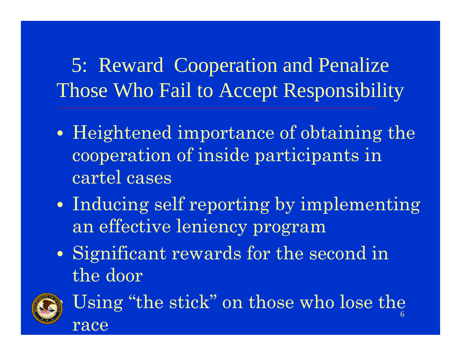5: Reward Cooperation and Penalize Those Who Fail to Accept Responsibility

- $\bullet$  Heightened importance of obtaining the cooperation of inside participants in cartel cases
- $\bullet$ • Inducing self reporting by implementing an effective leniency program
- $\bullet$ • Significant rewards for the second in the door



6 Using "the stick" on those who lose the race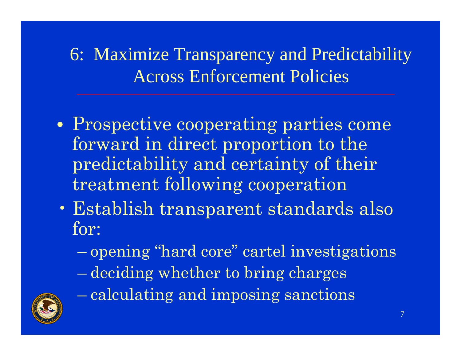6: Maximize Transparency and Predictability Across Enforcement Policies

- $\bullet$ • Prospective cooperating parties come forward in direct proportion to the predictability and certainty of their treatment following cooperation
- Establish transparent standards also for:
	- opening "hard core" cartel investigations
	- deciding whether to bring charges



calculating and imposing sanctions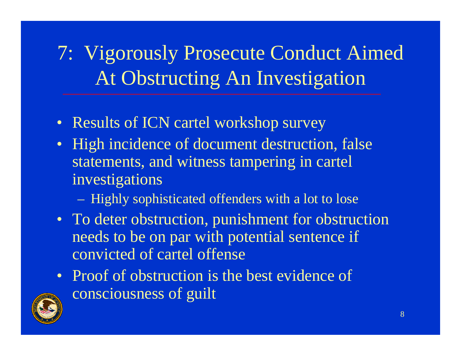7: Vigorously Prosecute Conduct Aimed At Obstructing An Investigation

- Results of ICN cartel workshop survey
- High incidence of document destruction, false statements, and witness tampering in cartel investigations
	- Highly sophisticated offenders with a lot to lose
- To deter obstruction, punishment for obstruction needs to be on par with potential sentence if convicted of cartel offense
- Proof of obstruction is the best evidence of consciousness of guilt

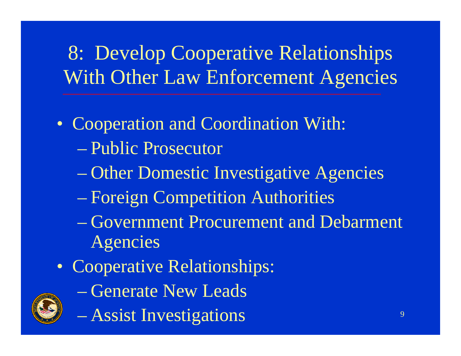# 8: Develop Cooperative Relationships With Other Law Enforcement Agencies

- Cooperation and Coordination With: – Public Prosecutor
	- Other Domestic Investigative Agencies
	- Foreign Competition Authorities
	- Government Procurement and Debarment Agencies
- Cooperative Relationships:
	- Generate New Leads



Assist Investigations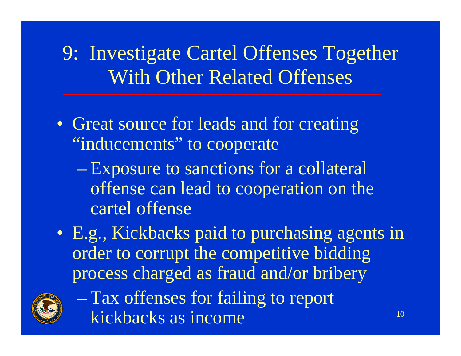9: Investigate Cartel Offenses Together With Other Related Offenses

- Great source for leads and for creating "inducements" to cooperate
	- Exposure to sanctions for a collateral offense can lead to cooperation on the cartel offense
- E.g., Kickbacks paid to purchasing agents in order to corrupt the competitive bidding process charged as fraud and/or bribery



 Tax offenses for failing to report kickbacks as income